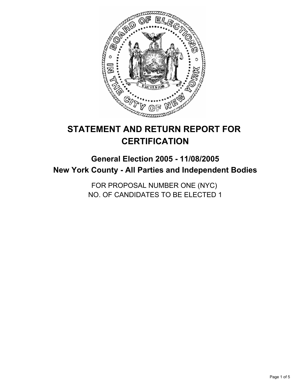

# **STATEMENT AND RETURN REPORT FOR CERTIFICATION**

## **General Election 2005 - 11/08/2005 New York County - All Parties and Independent Bodies**

FOR PROPOSAL NUMBER ONE (NYC) NO. OF CANDIDATES TO BE ELECTED 1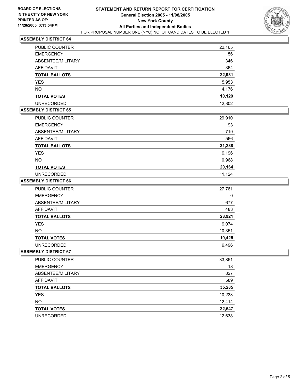

## **ASSEMBLY DISTRICT 64**

| PUBLIC COUNTER       | 22,165 |
|----------------------|--------|
| <b>EMERGENCY</b>     | 56     |
| ABSENTEE/MILITARY    | 346    |
| AFFIDAVIT            | 364    |
| <b>TOTAL BALLOTS</b> | 22,931 |
| <b>YES</b>           | 5,953  |
| <b>NO</b>            | 4,176  |
| <b>TOTAL VOTES</b>   | 10,129 |
| <b>UNRECORDED</b>    | 12,802 |

## **ASSEMBLY DISTRICT 65**

| PUBLIC COUNTER       | 29,910 |
|----------------------|--------|
| <b>EMERGENCY</b>     | 93     |
| ABSENTEE/MILITARY    | 719    |
| AFFIDAVIT            | 566    |
| <b>TOTAL BALLOTS</b> | 31,288 |
| <b>YES</b>           | 9,196  |
| <b>NO</b>            | 10,968 |
| <b>TOTAL VOTES</b>   | 20,164 |
| <b>UNRECORDED</b>    | 11,124 |

#### **ASSEMBLY DISTRICT 66**

| <b>PUBLIC COUNTER</b> | 27,761 |
|-----------------------|--------|
| <b>EMERGENCY</b>      | 0      |
| ABSENTEE/MILITARY     | 677    |
| AFFIDAVIT             | 483    |
| <b>TOTAL BALLOTS</b>  | 28,921 |
| <b>YES</b>            | 9,074  |
| NO.                   | 10,351 |
| <b>TOTAL VOTES</b>    | 19,425 |
| <b>UNRECORDED</b>     | 9,496  |

#### **ASSEMBLY DISTRICT 67**

| PUBLIC COUNTER       | 33,851 |
|----------------------|--------|
| <b>EMERGENCY</b>     | 18     |
| ABSENTEE/MILITARY    | 827    |
| AFFIDAVIT            | 589    |
| <b>TOTAL BALLOTS</b> | 35,285 |
| <b>YES</b>           | 10,233 |
| <b>NO</b>            | 12,414 |
| <b>TOTAL VOTES</b>   | 22,647 |
| <b>UNRECORDED</b>    | 12,638 |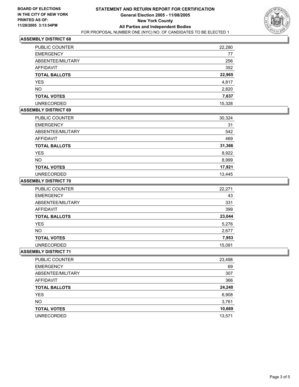

## **ASSEMBLY DISTRICT 68**

| <b>PUBLIC COUNTER</b> | 22,280 |
|-----------------------|--------|
| <b>EMERGENCY</b>      | 77     |
| ABSENTEE/MILITARY     | 256    |
| AFFIDAVIT             | 352    |
| <b>TOTAL BALLOTS</b>  | 22,965 |
| <b>YES</b>            | 4,817  |
| <b>NO</b>             | 2,820  |
| <b>TOTAL VOTES</b>    | 7,637  |
| <b>UNRECORDED</b>     | 15,328 |

## **ASSEMBLY DISTRICT 69**

| PUBLIC COUNTER       | 30,324 |
|----------------------|--------|
| <b>EMERGENCY</b>     | 31     |
| ABSENTEE/MILITARY    | 542    |
| AFFIDAVIT            | 469    |
| <b>TOTAL BALLOTS</b> | 31,366 |
| <b>YES</b>           | 8,922  |
| <b>NO</b>            | 8,999  |
| <b>TOTAL VOTES</b>   | 17,921 |
| <b>UNRECORDED</b>    | 13,445 |

#### **ASSEMBLY DISTRICT 70**

| <b>PUBLIC COUNTER</b> | 22,271 |
|-----------------------|--------|
| <b>EMERGENCY</b>      | 43     |
| ABSENTEE/MILITARY     | 331    |
| AFFIDAVIT             | 399    |
| <b>TOTAL BALLOTS</b>  | 23,044 |
| <b>YES</b>            | 5,276  |
| NO.                   | 2,677  |
| <b>TOTAL VOTES</b>    | 7,953  |
| <b>UNRECORDED</b>     | 15,091 |

#### **ASSEMBLY DISTRICT 71**

| <b>PUBLIC COUNTER</b> | 23,498 |
|-----------------------|--------|
| <b>EMERGENCY</b>      | 69     |
| ABSENTEE/MILITARY     | 307    |
| AFFIDAVIT             | 366    |
| <b>TOTAL BALLOTS</b>  | 24,240 |
| <b>YES</b>            | 6,908  |
| <b>NO</b>             | 3,761  |
| <b>TOTAL VOTES</b>    | 10,669 |
| <b>UNRECORDED</b>     | 13,571 |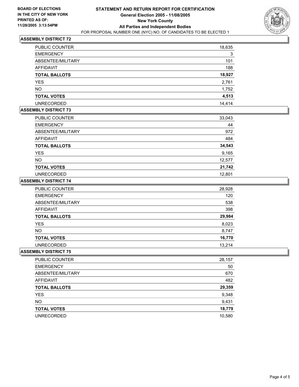

## **ASSEMBLY DISTRICT 72**

| PUBLIC COUNTER       | 18,635 |
|----------------------|--------|
| <b>EMERGENCY</b>     | 3      |
| ABSENTEE/MILITARY    | 101    |
| AFFIDAVIT            | 188    |
| <b>TOTAL BALLOTS</b> | 18,927 |
| <b>YES</b>           | 2,761  |
| <b>NO</b>            | 1,752  |
| <b>TOTAL VOTES</b>   | 4,513  |
| <b>UNRECORDED</b>    | 14.414 |

#### **ASSEMBLY DISTRICT 73**

| PUBLIC COUNTER       | 33,043 |
|----------------------|--------|
| <b>EMERGENCY</b>     | 44     |
| ABSENTEE/MILITARY    | 972    |
| <b>AFFIDAVIT</b>     | 484    |
| <b>TOTAL BALLOTS</b> | 34,543 |
| <b>YES</b>           | 9,165  |
| <b>NO</b>            | 12,577 |
| <b>TOTAL VOTES</b>   | 21,742 |
| <b>UNRECORDED</b>    | 12,801 |

#### **ASSEMBLY DISTRICT 74**

| PUBLIC COUNTER       | 28,928 |
|----------------------|--------|
| <b>EMERGENCY</b>     | 120    |
| ABSENTEE/MILITARY    | 538    |
| AFFIDAVIT            | 398    |
| <b>TOTAL BALLOTS</b> | 29,984 |
| <b>YES</b>           | 8,023  |
| <b>NO</b>            | 8,747  |
| <b>TOTAL VOTES</b>   | 16,770 |
| <b>UNRECORDED</b>    | 13.214 |

#### **ASSEMBLY DISTRICT 75**

| PUBLIC COUNTER       | 28,157 |
|----------------------|--------|
| <b>EMERGENCY</b>     | 50     |
| ABSENTEE/MILITARY    | 670    |
| AFFIDAVIT            | 482    |
| <b>TOTAL BALLOTS</b> | 29,359 |
| <b>YES</b>           | 9,348  |
| <b>NO</b>            | 9,431  |
| <b>TOTAL VOTES</b>   | 18,779 |
| <b>UNRECORDED</b>    | 10,580 |